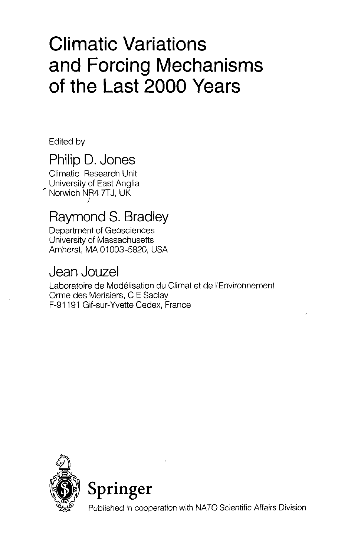# Climatic Variations and Forcing Mechanisms of the Last 2000 Years

Edited by

# Philip D. Jones

Climatic Research Unit University of East Anglia Norwich NR4 7TJ, UK

## Raymond S. Bradley

Department of Geosciences University of Massachusetts Amherst, MA 01003-5820, USA

### Jean Jouzel

Laboratoire de Modelisation du Climat et de I'Environnement Orme des Merisiers, C E Saclay F-91191 Gif-sur-Yvette Cedex, France





Published in cooperation with NATO Scientific Affairs Division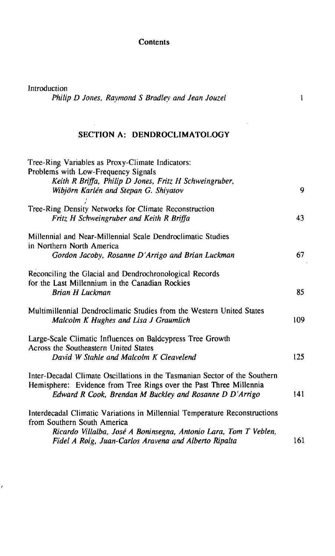#### **Contents**

Introduction

 $\epsilon$ 

*Philip D Jones, Raymond S Bradley and Jean Jouzel*

 $\mathbf{1}$ 

#### **SECTION A: DENDROCLIMATOLOGY**

| 9   |
|-----|
| 43  |
| 67  |
| 85  |
| 109 |
| 125 |
| 141 |
| 161 |
|     |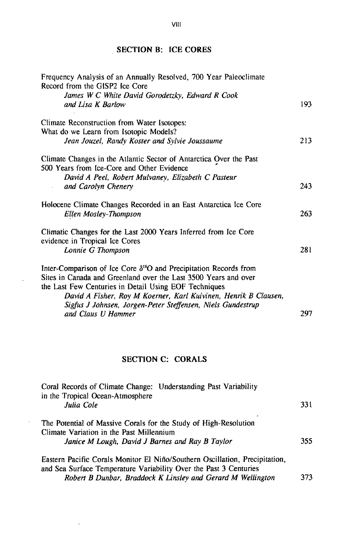#### **SECTION B: ICE CORES**

| Frequency Analysis of an Annually Resolved, 700 Year Paleoclimate<br>Record from the GISP2 Ice Core                                            |     |
|------------------------------------------------------------------------------------------------------------------------------------------------|-----|
| James W C White David Gorodetzky, Edward R Cook<br>and Lisa K Barlow                                                                           | 193 |
| Climate Reconstruction from Water Isotopes:                                                                                                    |     |
| What do we Learn from Isotopic Models?                                                                                                         |     |
| Jean Jouzel, Randy Koster and Sylvie Joussaume                                                                                                 | 213 |
| Climate Changes in the Atlantic Sector of Antarctica Over the Past<br>500 Years from Ice-Core and Other Evidence                               |     |
| David A Peel, Robert Mulvaney, Elizabeth C Pasteur                                                                                             |     |
| and Carolyn Chenery                                                                                                                            | 243 |
| Holocene Climate Changes Recorded in an East Antarctica Ice Core<br>Ellen Mosley-Thompson                                                      | 263 |
| Climatic Changes for the Last 2000 Years Inferred from Ice Core<br>evidence in Tropical Ice Cores                                              |     |
| Lonnie G Thompson                                                                                                                              | 281 |
| Inter-Comparison of Ice Core $\delta^{18}$ O and Precipitation Records from<br>Sites in Canada and Greenland over the Last 3500 Years and over |     |
| the Last Few Centuries in Detail Using EOF Techniques                                                                                          |     |
| David A Fisher, Roy M Koerner, Karl Kuivinen, Henrik B Clausen,                                                                                |     |
| Sigfus J Johnsen, Jorgen-Peter Steffensen, Niels Gundestrup<br>and Claus U Hammer                                                              | 297 |
|                                                                                                                                                |     |

#### **SECTION C: CORALS**

J,

 $\overline{\phantom{a}}$ 

 $\sim$ 

| Coral Records of Climate Change: Understanding Past Variability<br>in the Tropical Ocean-Atmosphere<br>Julia Cole                                               | 331 |
|-----------------------------------------------------------------------------------------------------------------------------------------------------------------|-----|
| The Potential of Massive Corals for the Study of High-Resolution<br>Climate Variation in the Past Millennium<br>Janice M Lough, David J Barnes and Ray B Taylor | 355 |
| Eastern Pacific Corals Monitor El Niño/Southern Oscillation, Precipitation,<br>and Sea Surface Temperature Variability Over the Past 3 Centuries                |     |

*Robert B Dunbar, Braddock K Linsley and Gerard M Wellington* 373

**VIII**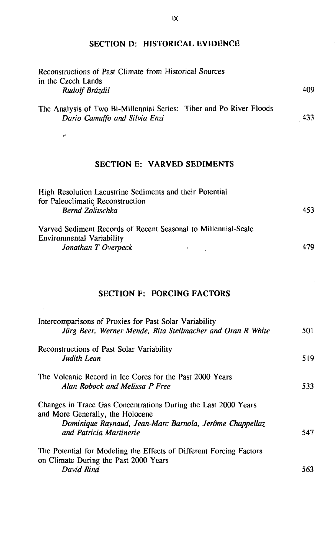#### **SECTION D: HISTORICAL EVIDENCE**

| Reconstructions of Past Climate from Historical Sources<br>in the Czech Lands                        |      |
|------------------------------------------------------------------------------------------------------|------|
| Rudolf Brázdil                                                                                       | 409  |
| The Analysis of Two Bi-Millennial Series: Tiber and Po River Floods<br>Dario Camuffo and Silvia Enzi | -433 |
| می                                                                                                   |      |
| <b>SECTION E: VARVED SEDIMENTS</b>                                                                   |      |
| High Resolution Lacustrine Sediments and their Potential                                             |      |

| Then resolution Labustring ocuments and their retention        |     |
|----------------------------------------------------------------|-----|
| for Paleoclimatic Reconstruction                               |     |
| Bernd Zolitschka                                               | 453 |
| Varved Sediment Records of Recent Seasonal to Millennial-Scale |     |
| Environmental Variability                                      |     |
| Jonathan T Overpeck                                            | 479 |

#### **SECTION F: FORCING FACTORS**

 $\mathcal{R}^{\mathcal{A}}$ 

| Intercomparisons of Proxies for Past Solar Variability<br>Jürg Beer, Werner Mende, Rita Stellmacher and Oran R White                                                                     | 501 |
|------------------------------------------------------------------------------------------------------------------------------------------------------------------------------------------|-----|
| Reconstructions of Past Solar Variability<br>Judith Lean                                                                                                                                 | 519 |
| The Volcanic Record in Ice Cores for the Past 2000 Years<br>Alan Robock and Melissa P Free                                                                                               | 533 |
| Changes in Trace Gas Concentrations During the Last 2000 Years<br>and More Generally, the Holocene<br>Dominique Raynaud, Jean-Marc Barnola, Jerôme Chappellaz<br>and Patricia Martinerie | 547 |
| The Potential for Modeling the Effects of Different Forcing Factors<br>on Climate During the Past 2000 Years<br>David Rind                                                               | 563 |